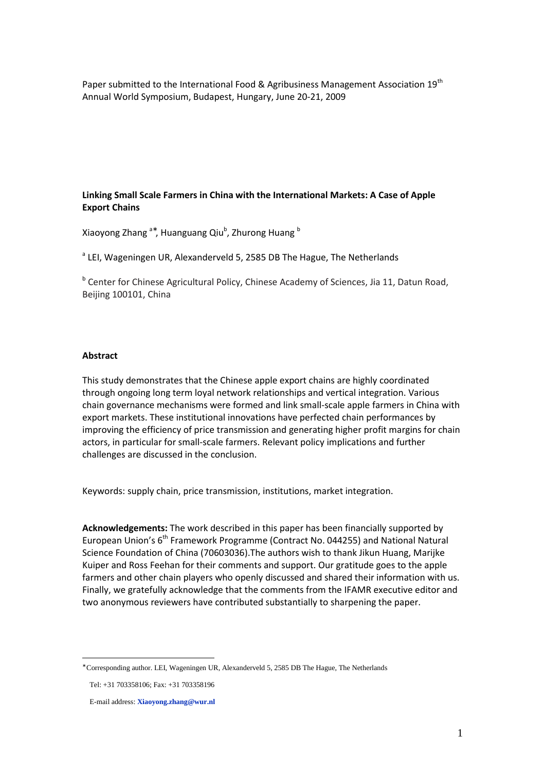Paper submitted to the International Food & Agribusiness Management Association 19<sup>th</sup> Annual World Symposium, Budapest, Hungary, June 20-21, 2009

# **Linking Small Scale Farmers in China with the International Markets: A Case of Apple Export Chains**

Xiaoyong Zhang<sup>a\*</sup>, Huanguang Qiu<sup>b</sup>, Zhurong Huang <sup>b</sup>

<sup>a</sup> LEI, Wageningen UR, Alexanderveld 5, 2585 DB The Hague, The Netherlands

<sup>b</sup> Center for Chinese Agricultural Policy, Chinese Academy of Sciences, Jia 11, Datun Road, Beijing 100101, China

# **Abstract**

This study demonstrates that the Chinese apple export chains are highly coordinated through ongoing long term loyal network relationships and vertical integration. Various chain governance mechanisms were formed and link small-scale apple farmers in China with export markets. These institutional innovations have perfected chain performances by improving the efficiency of price transmission and generating higher profit margins for chain actors, in particular for small-scale farmers. Relevant policy implications and further challenges are discussed in the conclusion.

Keywords: supply chain, price transmission, institutions, market integration.

**Acknowledgements:** The work described in this paper has been financially supported by European Union's 6<sup>th</sup> Framework Programme (Contract No. 044255) and National Natural Science Foundation of China (70603036).The authors wish to thank Jikun Huang, Marijke Kuiper and Ross Feehan for their comments and support. Our gratitude goes to the apple farmers and other chain players who openly discussed and shared their information with us. Finally, we gratefully acknowledge that the comments from the IFAMR executive editor and two anonymous reviewers have contributed substantially to sharpening the paper.

 $\overline{a}$ 

<sup>∗</sup> Corresponding author. LEI, Wageningen UR, Alexanderveld 5, 2585 DB The Hague, The Netherlands

Tel: +31 703358106; Fax: +31 703358196

E-mail address: **Xiaoyong.zhang@wur.nl**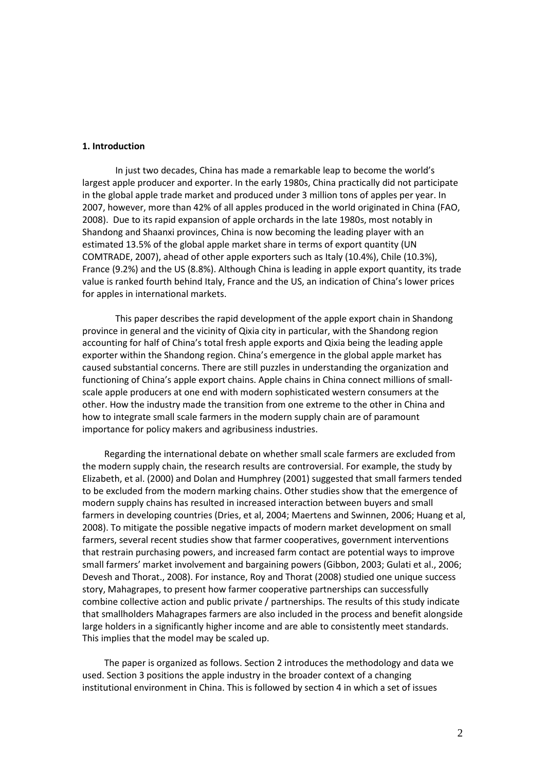## **1. Introduction**

In just two decades, China has made a remarkable leap to become the world's largest apple producer and exporter. In the early 1980s, China practically did not participate in the global apple trade market and produced under 3 million tons of apples per year. In 2007, however, more than 42% of all apples produced in the world originated in China (FAO, 2008). Due to its rapid expansion of apple orchards in the late 1980s, most notably in Shandong and Shaanxi provinces, China is now becoming the leading player with an estimated 13.5% of the global apple market share in terms of export quantity (UN COMTRADE, 2007), ahead of other apple exporters such as Italy (10.4%), Chile (10.3%), France (9.2%) and the US (8.8%). Although China is leading in apple export quantity, its trade value is ranked fourth behind Italy, France and the US, an indication of China's lower prices for apples in international markets.

This paper describes the rapid development of the apple export chain in Shandong province in general and the vicinity of Qixia city in particular, with the Shandong region accounting for half of China's total fresh apple exports and Qixia being the leading apple exporter within the Shandong region. China's emergence in the global apple market has caused substantial concerns. There are still puzzles in understanding the organization and functioning of China's apple export chains. Apple chains in China connect millions of smallscale apple producers at one end with modern sophisticated western consumers at the other. How the industry made the transition from one extreme to the other in China and how to integrate small scale farmers in the modern supply chain are of paramount importance for policy makers and agribusiness industries.

Regarding the international debate on whether small scale farmers are excluded from the modern supply chain, the research results are controversial. For example, the study by Elizabeth, et al. (2000) and Dolan and Humphrey (2001) suggested that small farmers tended to be excluded from the modern marking chains. Other studies show that the emergence of modern supply chains has resulted in increased interaction between buyers and small farmers in developing countries (Dries, et al, 2004; Maertens and Swinnen, 2006; Huang et al, 2008). To mitigate the possible negative impacts of modern market development on small farmers, several recent studies show that farmer cooperatives, government interventions that restrain purchasing powers, and increased farm contact are potential ways to improve small farmers' market involvement and bargaining powers (Gibbon, 2003; Gulati et al., 2006; Devesh and Thorat., 2008). For instance, Roy and Thorat (2008) studied one unique success story, Mahagrapes, to present how farmer cooperative partnerships can successfully combine collective action and public private / partnerships. The results of this study indicate that smallholders Mahagrapes farmers are also included in the process and benefit alongside large holders in a significantly higher income and are able to consistently meet standards. This implies that the model may be scaled up.

The paper is organized as follows. Section 2 introduces the methodology and data we used. Section 3 positions the apple industry in the broader context of a changing institutional environment in China. This is followed by section 4 in which a set of issues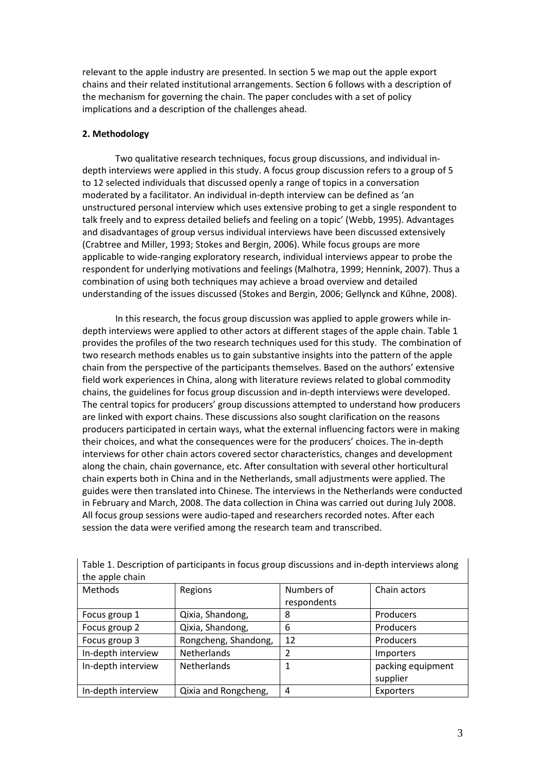relevant to the apple industry are presented. In section 5 we map out the apple export chains and their related institutional arrangements. Section 6 follows with a description of the mechanism for governing the chain. The paper concludes with a set of policy implications and a description of the challenges ahead.

# **2. Methodology**

Two qualitative research techniques, focus group discussions, and individual indepth interviews were applied in this study. A focus group discussion refers to a group of 5 to 12 selected individuals that discussed openly a range of topics in a conversation moderated by a facilitator. An individual in-depth interview can be defined as 'an unstructured personal interview which uses extensive probing to get a single respondent to talk freely and to express detailed beliefs and feeling on a topic' (Webb, 1995). Advantages and disadvantages of group versus individual interviews have been discussed extensively (Crabtree and Miller, 1993; Stokes and Bergin, 2006). While focus groups are more applicable to wide-ranging exploratory research, individual interviews appear to probe the respondent for underlying motivations and feelings (Malhotra, 1999; Hennink, 2007). Thus a combination of using both techniques may achieve a broad overview and detailed understanding of the issues discussed (Stokes and Bergin, 2006; Gellynck and Kűhne, 2008).

In this research, the focus group discussion was applied to apple growers while indepth interviews were applied to other actors at different stages of the apple chain. Table 1 provides the profiles of the two research techniques used for this study. The combination of two research methods enables us to gain substantive insights into the pattern of the apple chain from the perspective of the participants themselves. Based on the authors' extensive field work experiences in China, along with literature reviews related to global commodity chains, the guidelines for focus group discussion and in-depth interviews were developed. The central topics for producers' group discussions attempted to understand how producers are linked with export chains. These discussions also sought clarification on the reasons producers participated in certain ways, what the external influencing factors were in making their choices, and what the consequences were for the producers' choices. The in-depth interviews for other chain actors covered sector characteristics, changes and development along the chain, chain governance, etc. After consultation with several other horticultural chain experts both in China and in the Netherlands, small adjustments were applied. The guides were then translated into Chinese. The interviews in the Netherlands were conducted in February and March, 2008. The data collection in China was carried out during July 2008. All focus group sessions were audio-taped and researchers recorded notes. After each session the data were verified among the research team and transcribed.

| the apple chain    |                      |             |                   |
|--------------------|----------------------|-------------|-------------------|
| Methods            | Regions              | Numbers of  | Chain actors      |
|                    |                      | respondents |                   |
| Focus group 1      | Qixia, Shandong,     | 8           | Producers         |
| Focus group 2      | Qixia, Shandong,     | 6           | Producers         |
| Focus group 3      | Rongcheng, Shandong, | 12          | Producers         |
| In-depth interview | Netherlands          | 2           | Importers         |
| In-depth interview | Netherlands          | 1           | packing equipment |
|                    |                      |             | supplier          |
| In-depth interview | Qixia and Rongcheng, | 4           | Exporters         |

Table 1. Description of participants in focus group discussions and in-depth interviews along the apple chain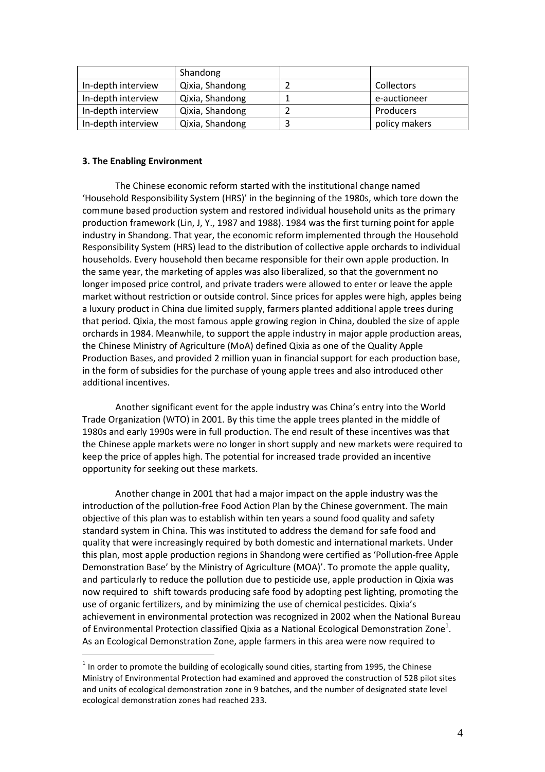|                    | Shandong        |               |
|--------------------|-----------------|---------------|
| In-depth interview | Qixia, Shandong | Collectors    |
| In-depth interview | Qixia, Shandong | e-auctioneer  |
| In-depth interview | Qixia, Shandong | Producers     |
| In-depth interview | Qixia, Shandong | policy makers |

# **3. The Enabling Environment**

 $\overline{a}$ 

The Chinese economic reform started with the institutional change named 'Household Responsibility System (HRS)' in the beginning of the 1980s, which tore down the commune based production system and restored individual household units as the primary production framework (Lin, J, Y., 1987 and 1988). 1984 was the first turning point for apple industry in Shandong. That year, the economic reform implemented through the Household Responsibility System (HRS) lead to the distribution of collective apple orchards to individual households. Every household then became responsible for their own apple production. In the same year, the marketing of apples was also liberalized, so that the government no longer imposed price control, and private traders were allowed to enter or leave the apple market without restriction or outside control. Since prices for apples were high, apples being a luxury product in China due limited supply, farmers planted additional apple trees during that period. Qixia, the most famous apple growing region in China, doubled the size of apple orchards in 1984. Meanwhile, to support the apple industry in major apple production areas, the Chinese Ministry of Agriculture (MoA) defined Qixia as one of the Quality Apple Production Bases, and provided 2 million yuan in financial support for each production base, in the form of subsidies for the purchase of young apple trees and also introduced other additional incentives.

Another significant event for the apple industry was China's entry into the World Trade Organization (WTO) in 2001. By this time the apple trees planted in the middle of 1980s and early 1990s were in full production. The end result of these incentives was that the Chinese apple markets were no longer in short supply and new markets were required to keep the price of apples high. The potential for increased trade provided an incentive opportunity for seeking out these markets.

Another change in 2001 that had a major impact on the apple industry was the introduction of the pollution-free Food Action Plan by the Chinese government. The main objective of this plan was to establish within ten years a sound food quality and safety standard system in China. This was instituted to address the demand for safe food and quality that were increasingly required by both domestic and international markets. Under this plan, most apple production regions in Shandong were certified as 'Pollution-free Apple Demonstration Base' by the Ministry of Agriculture (MOA)'. To promote the apple quality, and particularly to reduce the pollution due to pesticide use, apple production in Qixia was now required to shift towards producing safe food by adopting pest lighting, promoting the use of organic fertilizers, and by minimizing the use of chemical pesticides. Qixia's achievement in environmental protection was recognized in 2002 when the National Bureau of Environmental Protection classified Qixia as a National Ecological Demonstration Zone<sup>1</sup>. As an Ecological Demonstration Zone, apple farmers in this area were now required to

 $<sup>1</sup>$  In order to promote the building of ecologically sound cities, starting from 1995, the Chinese</sup> Ministry of Environmental Protection had examined and approved the construction of 528 pilot sites and units of ecological demonstration zone in 9 batches, and the number of designated state level ecological demonstration zones had reached 233.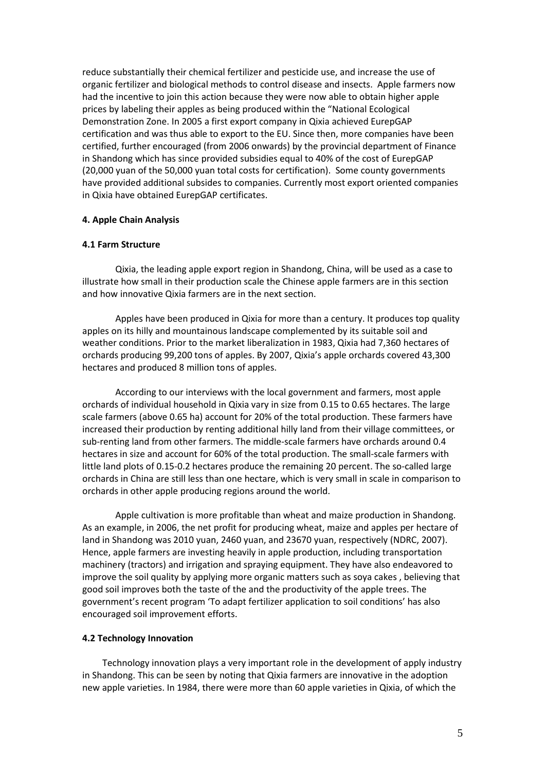reduce substantially their chemical fertilizer and pesticide use, and increase the use of organic fertilizer and biological methods to control disease and insects. Apple farmers now had the incentive to join this action because they were now able to obtain higher apple prices by labeling their apples as being produced within the "National Ecological Demonstration Zone. In 2005 a first export company in Qixia achieved EurepGAP certification and was thus able to export to the EU. Since then, more companies have been certified, further encouraged (from 2006 onwards) by the provincial department of Finance in Shandong which has since provided subsidies equal to 40% of the cost of EurepGAP (20,000 yuan of the 50,000 yuan total costs for certification). Some county governments have provided additional subsides to companies. Currently most export oriented companies in Qixia have obtained EurepGAP certificates.

## **4. Apple Chain Analysis**

## **4.1 Farm Structure**

Qixia, the leading apple export region in Shandong, China, will be used as a case to illustrate how small in their production scale the Chinese apple farmers are in this section and how innovative Qixia farmers are in the next section.

Apples have been produced in Qixia for more than a century. It produces top quality apples on its hilly and mountainous landscape complemented by its suitable soil and weather conditions. Prior to the market liberalization in 1983, Qixia had 7,360 hectares of orchards producing 99,200 tons of apples. By 2007, Qixia's apple orchards covered 43,300 hectares and produced 8 million tons of apples.

According to our interviews with the local government and farmers, most apple orchards of individual household in Qixia vary in size from 0.15 to 0.65 hectares. The large scale farmers (above 0.65 ha) account for 20% of the total production. These farmers have increased their production by renting additional hilly land from their village committees, or sub-renting land from other farmers. The middle-scale farmers have orchards around 0.4 hectares in size and account for 60% of the total production. The small-scale farmers with little land plots of 0.15-0.2 hectares produce the remaining 20 percent. The so-called large orchards in China are still less than one hectare, which is very small in scale in comparison to orchards in other apple producing regions around the world.

Apple cultivation is more profitable than wheat and maize production in Shandong. As an example, in 2006, the net profit for producing wheat, maize and apples per hectare of land in Shandong was 2010 yuan, 2460 yuan, and 23670 yuan, respectively (NDRC, 2007). Hence, apple farmers are investing heavily in apple production, including transportation machinery (tractors) and irrigation and spraying equipment. They have also endeavored to improve the soil quality by applying more organic matters such as soya cakes , believing that good soil improves both the taste of the and the productivity of the apple trees. The government's recent program 'To adapt fertilizer application to soil conditions' has also encouraged soil improvement efforts.

## **4.2 Technology Innovation**

Technology innovation plays a very important role in the development of apply industry in Shandong. This can be seen by noting that Qixia farmers are innovative in the adoption new apple varieties. In 1984, there were more than 60 apple varieties in Qixia, of which the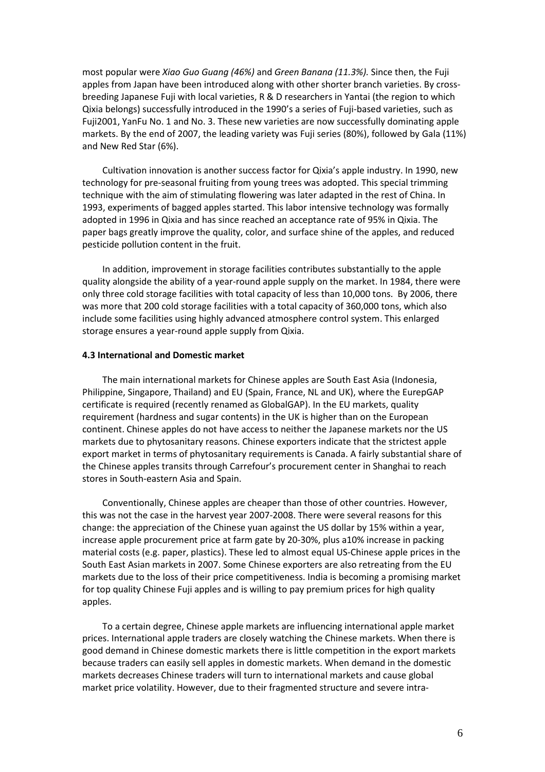most popular were *Xiao Guo Guang (46%)* and *Green Banana (11.3%).* Since then, the Fuji apples from Japan have been introduced along with other shorter branch varieties. By crossbreeding Japanese Fuji with local varieties, R & D researchers in Yantai (the region to which Qixia belongs) successfully introduced in the 1990's a series of Fuji-based varieties, such as Fuji2001, YanFu No. 1 and No. 3. These new varieties are now successfully dominating apple markets. By the end of 2007, the leading variety was Fuji series (80%), followed by Gala (11%) and New Red Star (6%).

Cultivation innovation is another success factor for Qixia's apple industry. In 1990, new technology for pre-seasonal fruiting from young trees was adopted. This special trimming technique with the aim of stimulating flowering was later adapted in the rest of China. In 1993, experiments of bagged apples started. This labor intensive technology was formally adopted in 1996 in Qixia and has since reached an acceptance rate of 95% in Qixia. The paper bags greatly improve the quality, color, and surface shine of the apples, and reduced pesticide pollution content in the fruit.

In addition, improvement in storage facilities contributes substantially to the apple quality alongside the ability of a year-round apple supply on the market. In 1984, there were only three cold storage facilities with total capacity of less than 10,000 tons. By 2006, there was more that 200 cold storage facilities with a total capacity of 360,000 tons, which also include some facilities using highly advanced atmosphere control system. This enlarged storage ensures a year-round apple supply from Qixia.

# **4.3 International and Domestic market**

The main international markets for Chinese apples are South East Asia (Indonesia, Philippine, Singapore, Thailand) and EU (Spain, France, NL and UK), where the EurepGAP certificate is required (recently renamed as GlobalGAP). In the EU markets, quality requirement (hardness and sugar contents) in the UK is higher than on the European continent. Chinese apples do not have access to neither the Japanese markets nor the US markets due to phytosanitary reasons. Chinese exporters indicate that the strictest apple export market in terms of phytosanitary requirements is Canada. A fairly substantial share of the Chinese apples transits through Carrefour's procurement center in Shanghai to reach stores in South-eastern Asia and Spain.

Conventionally, Chinese apples are cheaper than those of other countries. However, this was not the case in the harvest year 2007-2008. There were several reasons for this change: the appreciation of the Chinese yuan against the US dollar by 15% within a year, increase apple procurement price at farm gate by 20-30%, plus a10% increase in packing material costs (e.g. paper, plastics). These led to almost equal US-Chinese apple prices in the South East Asian markets in 2007. Some Chinese exporters are also retreating from the EU markets due to the loss of their price competitiveness. India is becoming a promising market for top quality Chinese Fuji apples and is willing to pay premium prices for high quality apples.

To a certain degree, Chinese apple markets are influencing international apple market prices. International apple traders are closely watching the Chinese markets. When there is good demand in Chinese domestic markets there is little competition in the export markets because traders can easily sell apples in domestic markets. When demand in the domestic markets decreases Chinese traders will turn to international markets and cause global market price volatility. However, due to their fragmented structure and severe intra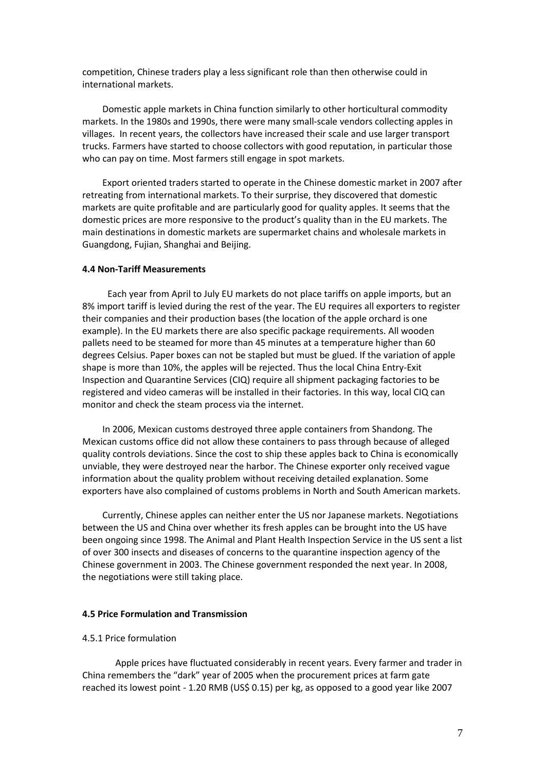competition, Chinese traders play a less significant role than then otherwise could in international markets.

Domestic apple markets in China function similarly to other horticultural commodity markets. In the 1980s and 1990s, there were many small-scale vendors collecting apples in villages. In recent years, the collectors have increased their scale and use larger transport trucks. Farmers have started to choose collectors with good reputation, in particular those who can pay on time. Most farmers still engage in spot markets.

Export oriented traders started to operate in the Chinese domestic market in 2007 after retreating from international markets. To their surprise, they discovered that domestic markets are quite profitable and are particularly good for quality apples. It seems that the domestic prices are more responsive to the product's quality than in the EU markets. The main destinations in domestic markets are supermarket chains and wholesale markets in Guangdong, Fujian, Shanghai and Beijing.

# **4.4 Non-Tariff Measurements**

Each year from April to July EU markets do not place tariffs on apple imports, but an 8% import tariff is levied during the rest of the year. The EU requires all exporters to register their companies and their production bases (the location of the apple orchard is one example). In the EU markets there are also specific package requirements. All wooden pallets need to be steamed for more than 45 minutes at a temperature higher than 60 degrees Celsius. Paper boxes can not be stapled but must be glued. If the variation of apple shape is more than 10%, the apples will be rejected. Thus the local China Entry-Exit Inspection and Quarantine Services (CIQ) require all shipment packaging factories to be registered and video cameras will be installed in their factories. In this way, local CIQ can monitor and check the steam process via the internet.

In 2006, Mexican customs destroyed three apple containers from Shandong. The Mexican customs office did not allow these containers to pass through because of alleged quality controls deviations. Since the cost to ship these apples back to China is economically unviable, they were destroyed near the harbor. The Chinese exporter only received vague information about the quality problem without receiving detailed explanation. Some exporters have also complained of customs problems in North and South American markets.

Currently, Chinese apples can neither enter the US nor Japanese markets. Negotiations between the US and China over whether its fresh apples can be brought into the US have been ongoing since 1998. The Animal and Plant Health Inspection Service in the US sent a list of over 300 insects and diseases of concerns to the quarantine inspection agency of the Chinese government in 2003. The Chinese government responded the next year. In 2008, the negotiations were still taking place.

#### **4.5 Price Formulation and Transmission**

# 4.5.1 Price formulation

Apple prices have fluctuated considerably in recent years. Every farmer and trader in China remembers the "dark" year of 2005 when the procurement prices at farm gate reached its lowest point - 1.20 RMB (US\$ 0.15) per kg, as opposed to a good year like 2007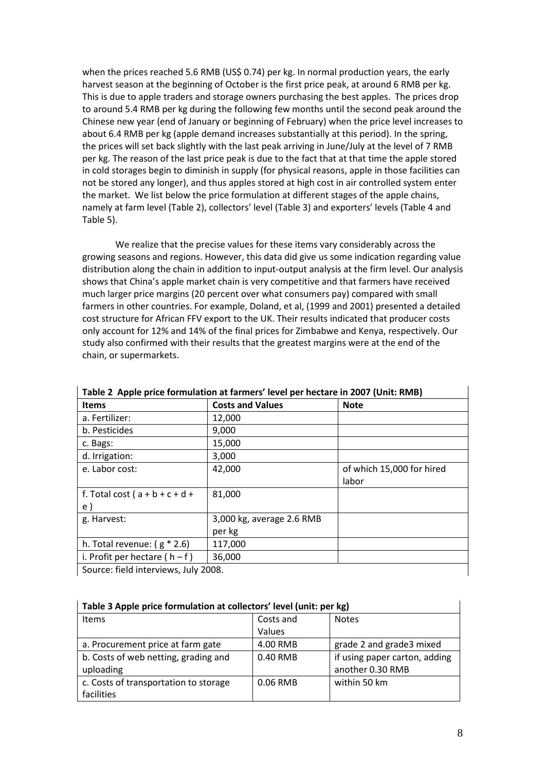when the prices reached 5.6 RMB (US\$ 0.74) per kg. In normal production years, the early harvest season at the beginning of October is the first price peak, at around 6 RMB per kg. This is due to apple traders and storage owners purchasing the best apples. The prices drop to around 5.4 RMB per kg during the following few months until the second peak around the Chinese new year (end of January or beginning of February) when the price level increases to about 6.4 RMB per kg (apple demand increases substantially at this period). In the spring, the prices will set back slightly with the last peak arriving in June/July at the level of 7 RMB per kg. The reason of the last price peak is due to the fact that at that time the apple stored in cold storages begin to diminish in supply (for physical reasons, apple in those facilities can not be stored any longer), and thus apples stored at high cost in air controlled system enter the market. We list below the price formulation at different stages of the apple chains, namely at farm level (Table 2), collectors' level (Table 3) and exporters' levels (Table 4 and Table 5).

We realize that the precise values for these items vary considerably across the growing seasons and regions. However, this data did give us some indication regarding value distribution along the chain in addition to input-output analysis at the firm level. Our analysis shows that China's apple market chain is very competitive and that farmers have received much larger price margins (20 percent over what consumers pay) compared with small farmers in other countries. For example, Doland, et al, (1999 and 2001) presented a detailed cost structure for African FFV export to the UK. Their results indicated that producer costs only account for 12% and 14% of the final prices for Zimbabwe and Kenya, respectively. Our study also confirmed with their results that the greatest margins were at the end of the chain, or supermarkets.

| $\frac{1}{2}$                        |                           |                           |  |
|--------------------------------------|---------------------------|---------------------------|--|
| <b>Items</b>                         | <b>Costs and Values</b>   | <b>Note</b>               |  |
| a. Fertilizer:                       | 12,000                    |                           |  |
| b. Pesticides                        | 9,000                     |                           |  |
| c. Bags:                             | 15,000                    |                           |  |
| d. Irrigation:                       | 3,000                     |                           |  |
| e. Labor cost:                       | 42,000                    | of which 15,000 for hired |  |
|                                      |                           | labor                     |  |
| f. Total cost $(a + b + c + d + b)$  | 81,000                    |                           |  |
| e)                                   |                           |                           |  |
| g. Harvest:                          | 3,000 kg, average 2.6 RMB |                           |  |
|                                      | per kg                    |                           |  |
| h. Total revenue: $(g * 2.6)$        | 117,000                   |                           |  |
| i. Profit per hectare $(h - f)$      | 36,000                    |                           |  |
| Source: field interviews, July 2008. |                           |                           |  |

**Table 2 Apple price formulation at farmers' level per hectare in 2007 (Unit: RMB)** 

| Table 3 Apple price formulation at collectors' level (unit: per kg) |           |                               |  |
|---------------------------------------------------------------------|-----------|-------------------------------|--|
| <b>Items</b>                                                        | Costs and | <b>Notes</b>                  |  |
|                                                                     | Values    |                               |  |
| a. Procurement price at farm gate                                   | 4.00 RMB  | grade 2 and grade3 mixed      |  |
| b. Costs of web netting, grading and                                | 0.40 RMB  | if using paper carton, adding |  |
| uploading                                                           |           | another 0.30 RMB              |  |
| c. Costs of transportation to storage                               | 0.06 RMB  | within 50 km                  |  |
| facilities                                                          |           |                               |  |

| Table 3 Apple price formulation at collectors' level (unit: per kg) |  |
|---------------------------------------------------------------------|--|
|                                                                     |  |

Ĭ.

 $\overline{\phantom{a}}$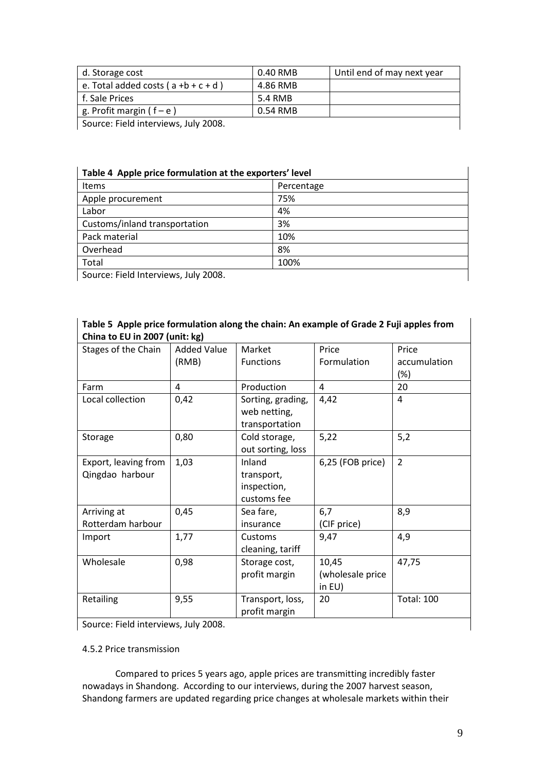| d. Storage cost                        | 0.40 RMB | Until end of may next year |
|----------------------------------------|----------|----------------------------|
| e. Total added costs $(a + b + c + d)$ | 4.86 RMB |                            |
| f. Sale Prices                         | 5.4 RMB  |                            |
| g. Profit margin ( $f - e$ )           | 0.54 RMB |                            |
| Source: Field interviews, July 2008.   |          |                            |

| Table 4 Apple price formulation at the exporters' level |            |  |
|---------------------------------------------------------|------------|--|
| <b>Items</b>                                            | Percentage |  |
| Apple procurement                                       | 75%        |  |
| Labor                                                   | 4%         |  |
| Customs/inland transportation                           | 3%         |  |
| Pack material                                           | 10%        |  |
| Overhead                                                | 8%         |  |
| Total                                                   | 100%       |  |
| Source: Field Interviews, July 2008.                    |            |  |

| China to EU in 2007 (unit: kg)       |                    |                   |                  |                   |
|--------------------------------------|--------------------|-------------------|------------------|-------------------|
| Stages of the Chain                  | <b>Added Value</b> | Market            | Price            | Price             |
|                                      | (RMB)              | <b>Functions</b>  | Formulation      | accumulation      |
|                                      |                    |                   |                  | $(\%)$            |
| Farm                                 | 4                  | Production        | 4                | 20                |
| Local collection                     | 0,42               | Sorting, grading, | 4,42             | 4                 |
|                                      |                    | web netting,      |                  |                   |
|                                      |                    | transportation    |                  |                   |
| Storage                              | 0,80               | Cold storage,     | 5,22             | 5,2               |
|                                      |                    | out sorting, loss |                  |                   |
| Export, leaving from                 | 1,03               | Inland            | 6,25 (FOB price) | $\overline{2}$    |
| Qingdao harbour                      |                    | transport,        |                  |                   |
|                                      |                    | inspection,       |                  |                   |
|                                      |                    | customs fee       |                  |                   |
| Arriving at                          | 0,45               | Sea fare,         | 6,7              | 8,9               |
| Rotterdam harbour                    |                    | insurance         | (CIF price)      |                   |
| Import                               | 1,77               | Customs           | 9,47             | 4,9               |
|                                      |                    | cleaning, tariff  |                  |                   |
| Wholesale                            | 0,98               | Storage cost,     | 10,45            | 47,75             |
|                                      |                    | profit margin     | (wholesale price |                   |
|                                      |                    |                   | in $EU$ )        |                   |
| Retailing                            | 9,55               | Transport, loss,  | 20               | <b>Total: 100</b> |
|                                      |                    | profit margin     |                  |                   |
| Source: Field interviews, July 2008. |                    |                   |                  |                   |

# **Table 5 Apple price formulation along the chain: An example of Grade 2 Fuji apples from China to EU in 2007 (unit: kg)**

# 4.5.2 Price transmission

Compared to prices 5 years ago, apple prices are transmitting incredibly faster nowadays in Shandong. According to our interviews, during the 2007 harvest season, Shandong farmers are updated regarding price changes at wholesale markets within their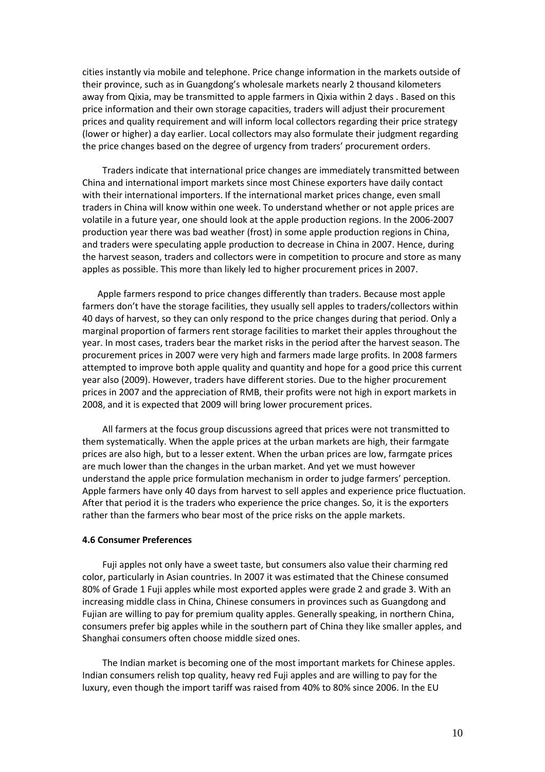cities instantly via mobile and telephone. Price change information in the markets outside of their province, such as in Guangdong's wholesale markets nearly 2 thousand kilometers away from Qixia, may be transmitted to apple farmers in Qixia within 2 days . Based on this price information and their own storage capacities, traders will adjust their procurement prices and quality requirement and will inform local collectors regarding their price strategy (lower or higher) a day earlier. Local collectors may also formulate their judgment regarding the price changes based on the degree of urgency from traders' procurement orders.

Traders indicate that international price changes are immediately transmitted between China and international import markets since most Chinese exporters have daily contact with their international importers. If the international market prices change, even small traders in China will know within one week. To understand whether or not apple prices are volatile in a future year, one should look at the apple production regions. In the 2006-2007 production year there was bad weather (frost) in some apple production regions in China, and traders were speculating apple production to decrease in China in 2007. Hence, during the harvest season, traders and collectors were in competition to procure and store as many apples as possible. This more than likely led to higher procurement prices in 2007.

Apple farmers respond to price changes differently than traders. Because most apple farmers don't have the storage facilities, they usually sell apples to traders/collectors within 40 days of harvest, so they can only respond to the price changes during that period. Only a marginal proportion of farmers rent storage facilities to market their apples throughout the year. In most cases, traders bear the market risks in the period after the harvest season. The procurement prices in 2007 were very high and farmers made large profits. In 2008 farmers attempted to improve both apple quality and quantity and hope for a good price this current year also (2009). However, traders have different stories. Due to the higher procurement prices in 2007 and the appreciation of RMB, their profits were not high in export markets in 2008, and it is expected that 2009 will bring lower procurement prices.

All farmers at the focus group discussions agreed that prices were not transmitted to them systematically. When the apple prices at the urban markets are high, their farmgate prices are also high, but to a lesser extent. When the urban prices are low, farmgate prices are much lower than the changes in the urban market. And yet we must however understand the apple price formulation mechanism in order to judge farmers' perception. Apple farmers have only 40 days from harvest to sell apples and experience price fluctuation. After that period it is the traders who experience the price changes. So, it is the exporters rather than the farmers who bear most of the price risks on the apple markets.

#### **4.6 Consumer Preferences**

Fuji apples not only have a sweet taste, but consumers also value their charming red color, particularly in Asian countries. In 2007 it was estimated that the Chinese consumed 80% of Grade 1 Fuji apples while most exported apples were grade 2 and grade 3. With an increasing middle class in China, Chinese consumers in provinces such as Guangdong and Fujian are willing to pay for premium quality apples. Generally speaking, in northern China, consumers prefer big apples while in the southern part of China they like smaller apples, and Shanghai consumers often choose middle sized ones.

The Indian market is becoming one of the most important markets for Chinese apples. Indian consumers relish top quality, heavy red Fuji apples and are willing to pay for the luxury, even though the import tariff was raised from 40% to 80% since 2006. In the EU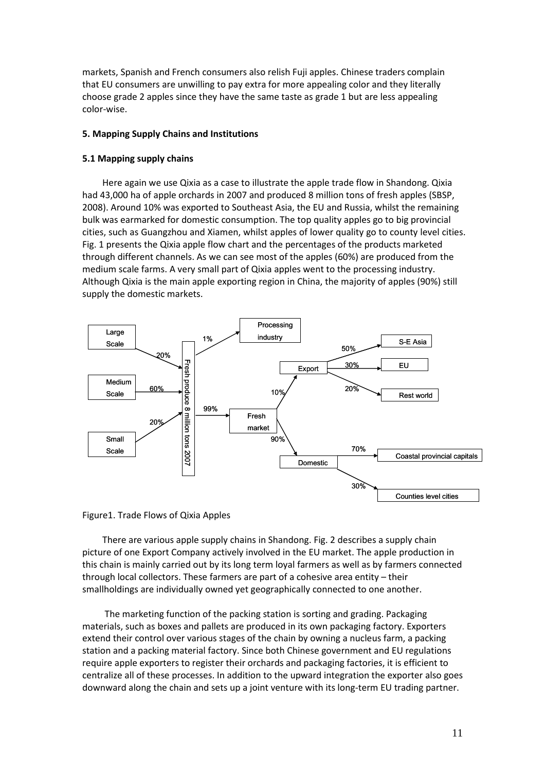markets, Spanish and French consumers also relish Fuji apples. Chinese traders complain that EU consumers are unwilling to pay extra for more appealing color and they literally choose grade 2 apples since they have the same taste as grade 1 but are less appealing color-wise.

## **5. Mapping Supply Chains and Institutions**

## **5.1 Mapping supply chains**

Here again we use Qixia as a case to illustrate the apple trade flow in Shandong. Qixia had 43,000 ha of apple orchards in 2007 and produced 8 million tons of fresh apples (SBSP, 2008). Around 10% was exported to Southeast Asia, the EU and Russia, whilst the remaining bulk was earmarked for domestic consumption. The top quality apples go to big provincial cities, such as Guangzhou and Xiamen, whilst apples of lower quality go to county level cities. Fig. 1 presents the Qixia apple flow chart and the percentages of the products marketed through different channels. As we can see most of the apples (60%) are produced from the medium scale farms. A very small part of Qixia apples went to the processing industry. Although Qixia is the main apple exporting region in China, the majority of apples (90%) still supply the domestic markets.





There are various apple supply chains in Shandong. Fig. 2 describes a supply chain picture of one Export Company actively involved in the EU market. The apple production in this chain is mainly carried out by its long term loyal farmers as well as by farmers connected through local collectors. These farmers are part of a cohesive area entity – their smallholdings are individually owned yet geographically connected to one another.

 The marketing function of the packing station is sorting and grading. Packaging materials, such as boxes and pallets are produced in its own packaging factory. Exporters extend their control over various stages of the chain by owning a nucleus farm, a packing station and a packing material factory. Since both Chinese government and EU regulations require apple exporters to register their orchards and packaging factories, it is efficient to centralize all of these processes. In addition to the upward integration the exporter also goes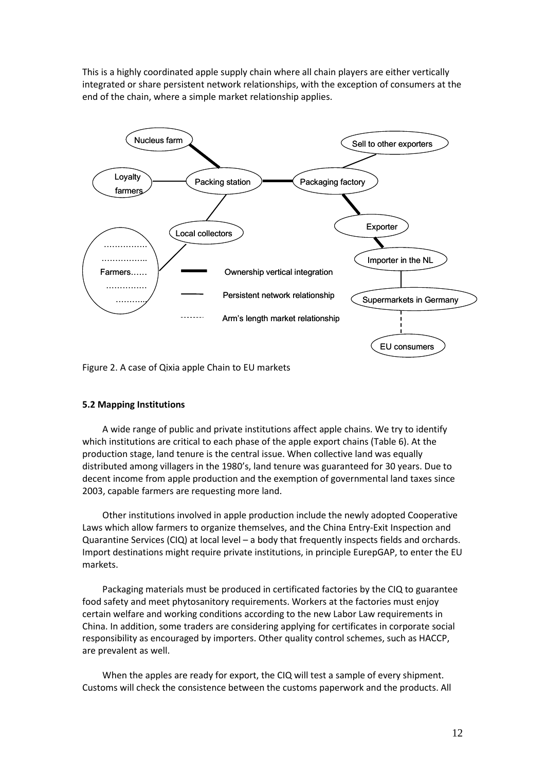This is a highly coordinated apple supply chain where all chain players are either vertically integrated or share persistent network relationships, with the exception of consumers at the end of the chain, where a simple market relationship applies.



Figure 2. A case of Qixia apple Chain to EU markets

# **5.2 Mapping Institutions**

A wide range of public and private institutions affect apple chains. We try to identify which institutions are critical to each phase of the apple export chains (Table 6). At the production stage, land tenure is the central issue. When collective land was equally distributed among villagers in the 1980's, land tenure was guaranteed for 30 years. Due to decent income from apple production and the exemption of governmental land taxes since 2003, capable farmers are requesting more land.

Other institutions involved in apple production include the newly adopted Cooperative Laws which allow farmers to organize themselves, and the China Entry-Exit Inspection and Quarantine Services (CIQ) at local level – a body that frequently inspects fields and orchards. Import destinations might require private institutions, in principle EurepGAP, to enter the EU markets.

Packaging materials must be produced in certificated factories by the CIQ to guarantee food safety and meet phytosanitory requirements. Workers at the factories must enjoy certain welfare and working conditions according to the new Labor Law requirements in China. In addition, some traders are considering applying for certificates in corporate social responsibility as encouraged by importers. Other quality control schemes, such as HACCP, are prevalent as well.

When the apples are ready for export, the CIQ will test a sample of every shipment. Customs will check the consistence between the customs paperwork and the products. All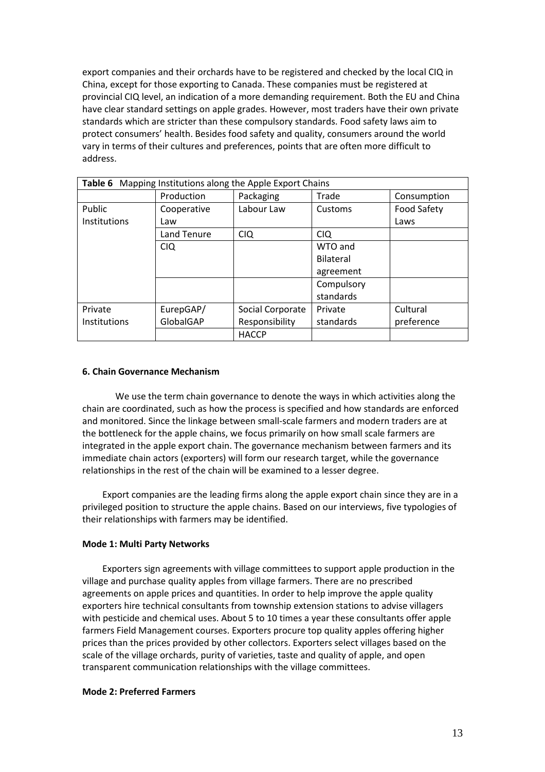export companies and their orchards have to be registered and checked by the local CIQ in China, except for those exporting to Canada. These companies must be registered at provincial CIQ level, an indication of a more demanding requirement. Both the EU and China have clear standard settings on apple grades. However, most traders have their own private standards which are stricter than these compulsory standards. Food safety laws aim to protect consumers' health. Besides food safety and quality, consumers around the world vary in terms of their cultures and preferences, points that are often more difficult to address.

| Table 6 Mapping Institutions along the Apple Export Chains |             |                  |                  |             |
|------------------------------------------------------------|-------------|------------------|------------------|-------------|
|                                                            | Production  | Packaging        | Trade            | Consumption |
| Public                                                     | Cooperative | Labour Law       | Customs          | Food Safety |
| Institutions                                               | Law         |                  |                  | Laws        |
|                                                            | Land Tenure | <b>CIQ</b>       | <b>CIQ</b>       |             |
|                                                            | <b>CIQ</b>  |                  | WTO and          |             |
|                                                            |             |                  | <b>Bilateral</b> |             |
|                                                            |             |                  | agreement        |             |
|                                                            |             |                  | Compulsory       |             |
|                                                            |             |                  | standards        |             |
| Private                                                    | EurepGAP/   | Social Corporate | Private          | Cultural    |
| <b>Institutions</b>                                        | GlobalGAP   | Responsibility   | standards        | preference  |
|                                                            |             | <b>HACCP</b>     |                  |             |

## **6. Chain Governance Mechanism**

We use the term chain governance to denote the ways in which activities along the chain are coordinated, such as how the process is specified and how standards are enforced and monitored. Since the linkage between small-scale farmers and modern traders are at the bottleneck for the apple chains, we focus primarily on how small scale farmers are integrated in the apple export chain. The governance mechanism between farmers and its immediate chain actors (exporters) will form our research target, while the governance relationships in the rest of the chain will be examined to a lesser degree.

Export companies are the leading firms along the apple export chain since they are in a privileged position to structure the apple chains. Based on our interviews, five typologies of their relationships with farmers may be identified.

## **Mode 1: Multi Party Networks**

Exporters sign agreements with village committees to support apple production in the village and purchase quality apples from village farmers. There are no prescribed agreements on apple prices and quantities. In order to help improve the apple quality exporters hire technical consultants from township extension stations to advise villagers with pesticide and chemical uses. About 5 to 10 times a year these consultants offer apple farmers Field Management courses. Exporters procure top quality apples offering higher prices than the prices provided by other collectors. Exporters select villages based on the scale of the village orchards, purity of varieties, taste and quality of apple, and open transparent communication relationships with the village committees.

## **Mode 2: Preferred Farmers**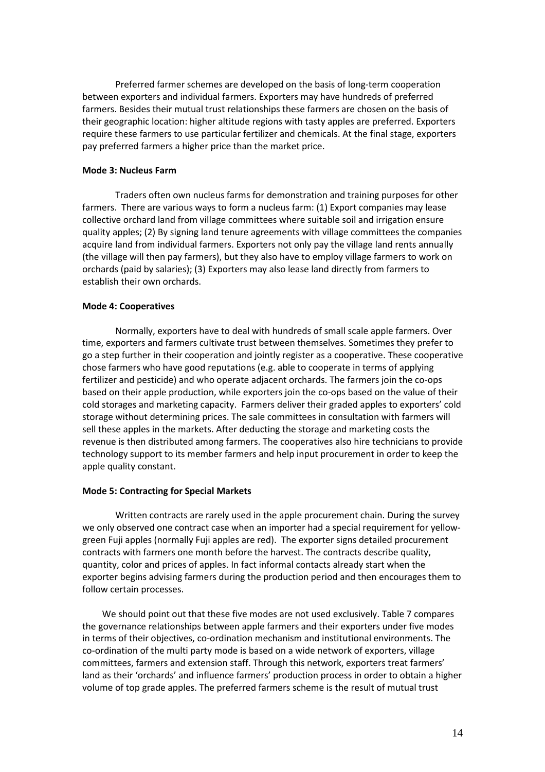Preferred farmer schemes are developed on the basis of long-term cooperation between exporters and individual farmers. Exporters may have hundreds of preferred farmers. Besides their mutual trust relationships these farmers are chosen on the basis of their geographic location: higher altitude regions with tasty apples are preferred. Exporters require these farmers to use particular fertilizer and chemicals. At the final stage, exporters pay preferred farmers a higher price than the market price.

## **Mode 3: Nucleus Farm**

Traders often own nucleus farms for demonstration and training purposes for other farmers. There are various ways to form a nucleus farm: (1) Export companies may lease collective orchard land from village committees where suitable soil and irrigation ensure quality apples; (2) By signing land tenure agreements with village committees the companies acquire land from individual farmers. Exporters not only pay the village land rents annually (the village will then pay farmers), but they also have to employ village farmers to work on orchards (paid by salaries); (3) Exporters may also lease land directly from farmers to establish their own orchards.

## **Mode 4: Cooperatives**

Normally, exporters have to deal with hundreds of small scale apple farmers. Over time, exporters and farmers cultivate trust between themselves. Sometimes they prefer to go a step further in their cooperation and jointly register as a cooperative. These cooperative chose farmers who have good reputations (e.g. able to cooperate in terms of applying fertilizer and pesticide) and who operate adjacent orchards. The farmers join the co-ops based on their apple production, while exporters join the co-ops based on the value of their cold storages and marketing capacity. Farmers deliver their graded apples to exporters' cold storage without determining prices. The sale committees in consultation with farmers will sell these apples in the markets. After deducting the storage and marketing costs the revenue is then distributed among farmers. The cooperatives also hire technicians to provide technology support to its member farmers and help input procurement in order to keep the apple quality constant.

## **Mode 5: Contracting for Special Markets**

Written contracts are rarely used in the apple procurement chain. During the survey we only observed one contract case when an importer had a special requirement for yellowgreen Fuji apples (normally Fuji apples are red). The exporter signs detailed procurement contracts with farmers one month before the harvest. The contracts describe quality, quantity, color and prices of apples. In fact informal contacts already start when the exporter begins advising farmers during the production period and then encourages them to follow certain processes.

We should point out that these five modes are not used exclusively. Table 7 compares the governance relationships between apple farmers and their exporters under five modes in terms of their objectives, co-ordination mechanism and institutional environments. The co-ordination of the multi party mode is based on a wide network of exporters, village committees, farmers and extension staff. Through this network, exporters treat farmers' land as their 'orchards' and influence farmers' production process in order to obtain a higher volume of top grade apples. The preferred farmers scheme is the result of mutual trust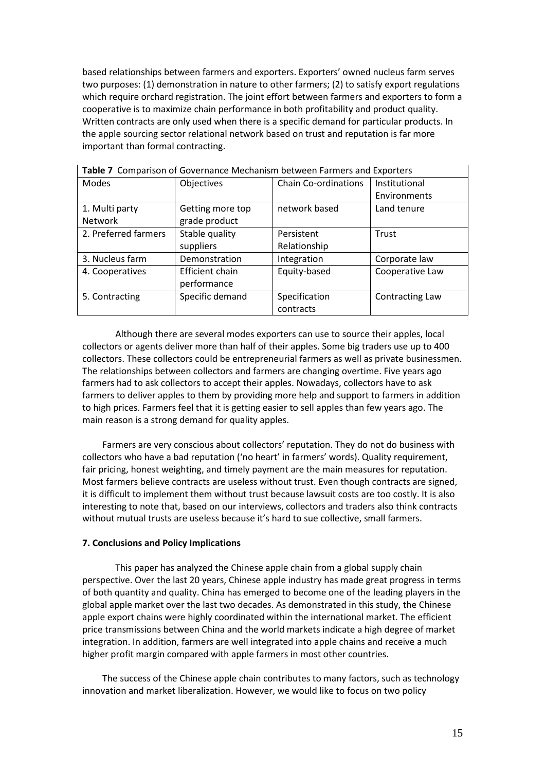based relationships between farmers and exporters. Exporters' owned nucleus farm serves two purposes: (1) demonstration in nature to other farmers; (2) to satisfy export regulations which require orchard registration. The joint effort between farmers and exporters to form a cooperative is to maximize chain performance in both profitability and product quality. Written contracts are only used when there is a specific demand for particular products. In the apple sourcing sector relational network based on trust and reputation is far more important than formal contracting.

|                      | <b>TWAIG 7</b> COMPANDOM OF COVERTIGATION INCORDING DECIDENT ANTHEID AND EXPORTED |                             |                 |
|----------------------|-----------------------------------------------------------------------------------|-----------------------------|-----------------|
| Modes                | Objectives                                                                        | <b>Chain Co-ordinations</b> | Institutional   |
|                      |                                                                                   |                             | Environments    |
| 1. Multi party       | Getting more top                                                                  | network based               | Land tenure     |
| Network              | grade product                                                                     |                             |                 |
| 2. Preferred farmers | Stable quality                                                                    | Persistent                  | Trust           |
|                      | suppliers                                                                         | Relationship                |                 |
| 3. Nucleus farm      | Demonstration                                                                     | Integration                 | Corporate law   |
| 4. Cooperatives      | Efficient chain                                                                   | Equity-based                | Cooperative Law |
|                      | performance                                                                       |                             |                 |
| 5. Contracting       | Specific demand                                                                   | Specification               | Contracting Law |
|                      |                                                                                   | contracts                   |                 |

**Table 7** Comparison of Governance Mechanism between Farmers and Exporters

Although there are several modes exporters can use to source their apples, local collectors or agents deliver more than half of their apples. Some big traders use up to 400 collectors. These collectors could be entrepreneurial farmers as well as private businessmen. The relationships between collectors and farmers are changing overtime. Five years ago farmers had to ask collectors to accept their apples. Nowadays, collectors have to ask farmers to deliver apples to them by providing more help and support to farmers in addition to high prices. Farmers feel that it is getting easier to sell apples than few years ago. The main reason is a strong demand for quality apples.

Farmers are very conscious about collectors' reputation. They do not do business with collectors who have a bad reputation ('no heart' in farmers' words). Quality requirement, fair pricing, honest weighting, and timely payment are the main measures for reputation. Most farmers believe contracts are useless without trust. Even though contracts are signed, it is difficult to implement them without trust because lawsuit costs are too costly. It is also interesting to note that, based on our interviews, collectors and traders also think contracts without mutual trusts are useless because it's hard to sue collective, small farmers.

## **7. Conclusions and Policy Implications**

This paper has analyzed the Chinese apple chain from a global supply chain perspective. Over the last 20 years, Chinese apple industry has made great progress in terms of both quantity and quality. China has emerged to become one of the leading players in the global apple market over the last two decades. As demonstrated in this study, the Chinese apple export chains were highly coordinated within the international market. The efficient price transmissions between China and the world markets indicate a high degree of market integration. In addition, farmers are well integrated into apple chains and receive a much higher profit margin compared with apple farmers in most other countries.

The success of the Chinese apple chain contributes to many factors, such as technology innovation and market liberalization. However, we would like to focus on two policy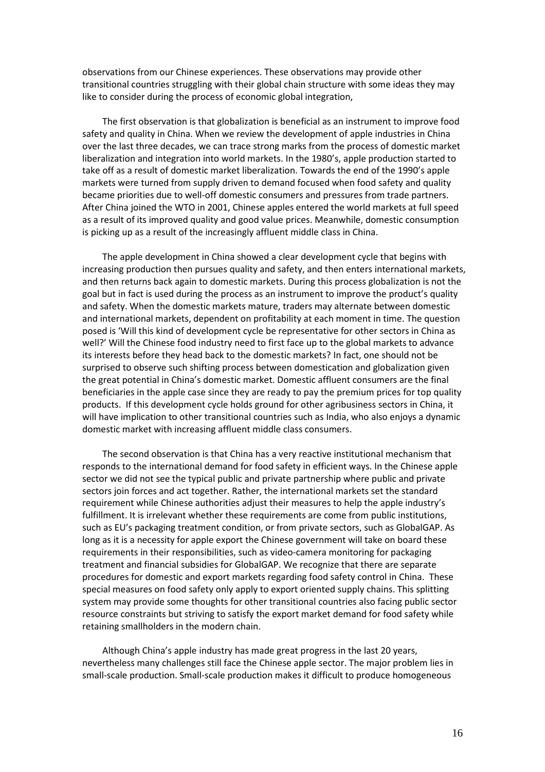observations from our Chinese experiences. These observations may provide other transitional countries struggling with their global chain structure with some ideas they may like to consider during the process of economic global integration,

The first observation is that globalization is beneficial as an instrument to improve food safety and quality in China. When we review the development of apple industries in China over the last three decades, we can trace strong marks from the process of domestic market liberalization and integration into world markets. In the 1980's, apple production started to take off as a result of domestic market liberalization. Towards the end of the 1990's apple markets were turned from supply driven to demand focused when food safety and quality became priorities due to well-off domestic consumers and pressures from trade partners. After China joined the WTO in 2001, Chinese apples entered the world markets at full speed as a result of its improved quality and good value prices. Meanwhile, domestic consumption is picking up as a result of the increasingly affluent middle class in China.

The apple development in China showed a clear development cycle that begins with increasing production then pursues quality and safety, and then enters international markets, and then returns back again to domestic markets. During this process globalization is not the goal but in fact is used during the process as an instrument to improve the product's quality and safety. When the domestic markets mature, traders may alternate between domestic and international markets, dependent on profitability at each moment in time. The question posed is 'Will this kind of development cycle be representative for other sectors in China as well?' Will the Chinese food industry need to first face up to the global markets to advance its interests before they head back to the domestic markets? In fact, one should not be surprised to observe such shifting process between domestication and globalization given the great potential in China's domestic market. Domestic affluent consumers are the final beneficiaries in the apple case since they are ready to pay the premium prices for top quality products. If this development cycle holds ground for other agribusiness sectors in China, it will have implication to other transitional countries such as India, who also enjoys a dynamic domestic market with increasing affluent middle class consumers.

The second observation is that China has a very reactive institutional mechanism that responds to the international demand for food safety in efficient ways. In the Chinese apple sector we did not see the typical public and private partnership where public and private sectors join forces and act together. Rather, the international markets set the standard requirement while Chinese authorities adjust their measures to help the apple industry's fulfillment. It is irrelevant whether these requirements are come from public institutions, such as EU's packaging treatment condition, or from private sectors, such as GlobalGAP. As long as it is a necessity for apple export the Chinese government will take on board these requirements in their responsibilities, such as video-camera monitoring for packaging treatment and financial subsidies for GlobalGAP. We recognize that there are separate procedures for domestic and export markets regarding food safety control in China. These special measures on food safety only apply to export oriented supply chains. This splitting system may provide some thoughts for other transitional countries also facing public sector resource constraints but striving to satisfy the export market demand for food safety while retaining smallholders in the modern chain.

Although China's apple industry has made great progress in the last 20 years, nevertheless many challenges still face the Chinese apple sector. The major problem lies in small-scale production. Small-scale production makes it difficult to produce homogeneous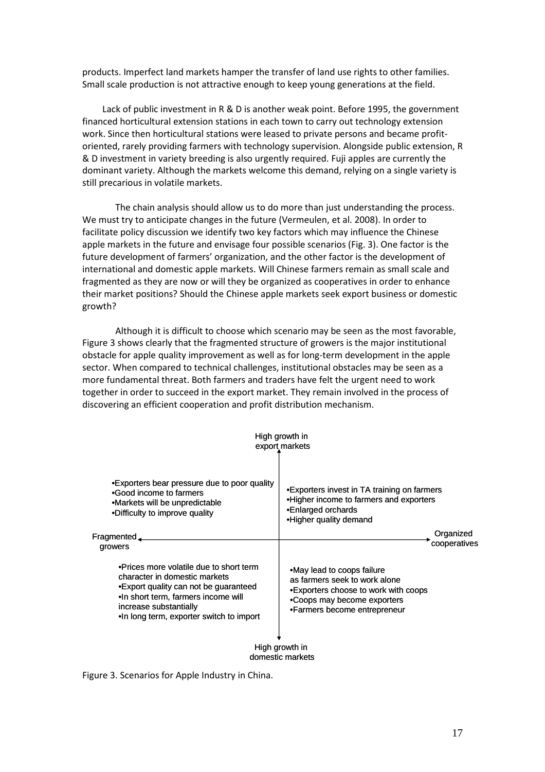products. Imperfect land markets hamper the transfer of land use rights to other families. Small scale production is not attractive enough to keep young generations at the field.

Lack of public investment in R & D is another weak point. Before 1995, the government financed horticultural extension stations in each town to carry out technology extension work. Since then horticultural stations were leased to private persons and became profitoriented, rarely providing farmers with technology supervision. Alongside public extension, R & D investment in variety breeding is also urgently required. Fuji apples are currently the dominant variety. Although the markets welcome this demand, relying on a single variety is still precarious in volatile markets.

The chain analysis should allow us to do more than just understanding the process. We must try to anticipate changes in the future (Vermeulen, et al. 2008). In order to facilitate policy discussion we identify two key factors which may influence the Chinese apple markets in the future and envisage four possible scenarios (Fig. 3). One factor is the future development of farmers' organization, and the other factor is the development of international and domestic apple markets. Will Chinese farmers remain as small scale and fragmented as they are now or will they be organized as cooperatives in order to enhance their market positions? Should the Chinese apple markets seek export business or domestic growth?

Although it is difficult to choose which scenario may be seen as the most favorable, Figure 3 shows clearly that the fragmented structure of growers is the major institutional obstacle for apple quality improvement as well as for long-term development in the apple sector. When compared to technical challenges, institutional obstacles may be seen as a more fundamental threat. Both farmers and traders have felt the urgent need to work together in order to succeed in the export market. They remain involved in the process of discovering an efficient cooperation and profit distribution mechanism.

|                                                                                                                                                                                                                                 | High growth in<br>export markets                                                                                                                                   |  |  |
|---------------------------------------------------------------------------------------------------------------------------------------------------------------------------------------------------------------------------------|--------------------------------------------------------------------------------------------------------------------------------------------------------------------|--|--|
| •Exporters bear pressure due to poor quality<br>.Good income to farmers<br>•Markets will be unpredictable<br>•Difficulty to improve quality                                                                                     | •Exporters invest in TA training on farmers<br>•Higher income to farmers and exporters<br>•Enlarged orchards<br>•Higher quality demand                             |  |  |
| $F$ ragmented $\Box$<br>growers                                                                                                                                                                                                 | Organized<br>cooperatives                                                                                                                                          |  |  |
| •Prices more volatile due to short term<br>character in domestic markets<br>• Export quality can not be guaranteed<br>.In short term, farmers income will<br>increase substantially<br>.In long term, exporter switch to import | •May lead to coops failure<br>as farmers seek to work alone<br>•Exporters choose to work with coops<br>•Coops may become exporters<br>•Farmers become entrepreneur |  |  |
| High growth in<br>domestic markets                                                                                                                                                                                              |                                                                                                                                                                    |  |  |

Figure 3. Scenarios for Apple Industry in China.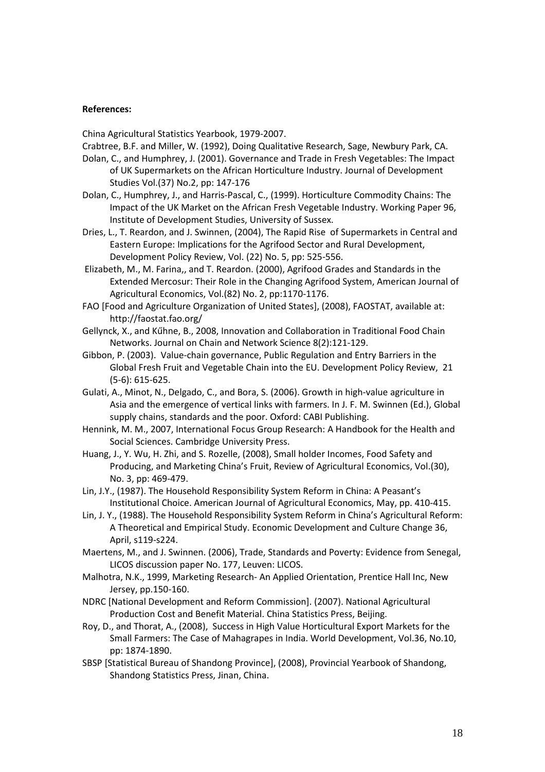## **References:**

China Agricultural Statistics Yearbook, 1979-2007.

Crabtree, B.F. and Miller, W. (1992), Doing Qualitative Research, Sage, Newbury Park, CA.

- Dolan, C., and Humphrey, J. (2001). Governance and Trade in Fresh Vegetables: The Impact of UK Supermarkets on the African Horticulture Industry. Journal of Development Studies Vol.(37) No.2, pp: 147-176
- Dolan, C., Humphrey, J., and Harris-Pascal, C., (1999). Horticulture Commodity Chains: The Impact of the UK Market on the African Fresh Vegetable Industry. Working Paper 96, Institute of Development Studies, University of Sussex.
- Dries, L., T. Reardon, and J. Swinnen, (2004), The Rapid Rise of Supermarkets in Central and Eastern Europe: Implications for the Agrifood Sector and Rural Development, Development Policy Review, Vol. (22) No. 5, pp: 525-556.
- Elizabeth, M., M. Farina,, and T. Reardon. (2000), Agrifood Grades and Standards in the Extended Mercosur: Their Role in the Changing Agrifood System, American Journal of Agricultural Economics, Vol.(82) No. 2, pp:1170-1176.
- FAO [Food and Agriculture Organization of United States], (2008), FAOSTAT, available at: http://faostat.fao.org/
- Gellynck, X., and Kűhne, B., 2008, Innovation and Collaboration in Traditional Food Chain Networks. Journal on Chain and Network Science 8(2):121-129.
- Gibbon, P. (2003). Value-chain governance, Public Regulation and Entry Barriers in the Global Fresh Fruit and Vegetable Chain into the EU. Development Policy Review, 21 (5-6): 615-625.
- Gulati, A., Minot, N., Delgado, C., and Bora, S. (2006). Growth in high-value agriculture in Asia and the emergence of vertical links with farmers. In J. F. M. Swinnen (Ed.), Global supply chains, standards and the poor. Oxford: CABI Publishing.
- Hennink, M. M., 2007, International Focus Group Research: A Handbook for the Health and Social Sciences. Cambridge University Press.
- Huang, J., Y. Wu, H. Zhi, and S. Rozelle, (2008), Small holder Incomes, Food Safety and Producing, and Marketing China's Fruit, Review of Agricultural Economics, Vol.(30), No. 3, pp: 469-479.
- Lin, J.Y., (1987). The Household Responsibility System Reform in China: A Peasant's Institutional Choice. American Journal of Agricultural Economics, May, pp. 410-415.
- Lin, J. Y., (1988). The Household Responsibility System Reform in China's Agricultural Reform: A Theoretical and Empirical Study. Economic Development and Culture Change 36, April, s119-s224.
- Maertens, M., and J. Swinnen. (2006), Trade, Standards and Poverty: Evidence from Senegal, LICOS discussion paper No. 177, Leuven: LICOS.
- Malhotra, N.K., 1999, Marketing Research- An Applied Orientation, Prentice Hall Inc, New Jersey, pp.150-160.
- NDRC [National Development and Reform Commission]. (2007). National Agricultural Production Cost and Benefit Material. China Statistics Press, Beijing.
- Roy, D., and Thorat, A., (2008), Success in High Value Horticultural Export Markets for the Small Farmers: The Case of Mahagrapes in India. World Development, Vol.36, No.10, pp: 1874-1890.
- SBSP [Statistical Bureau of Shandong Province], (2008), Provincial Yearbook of Shandong, Shandong Statistics Press, Jinan, China.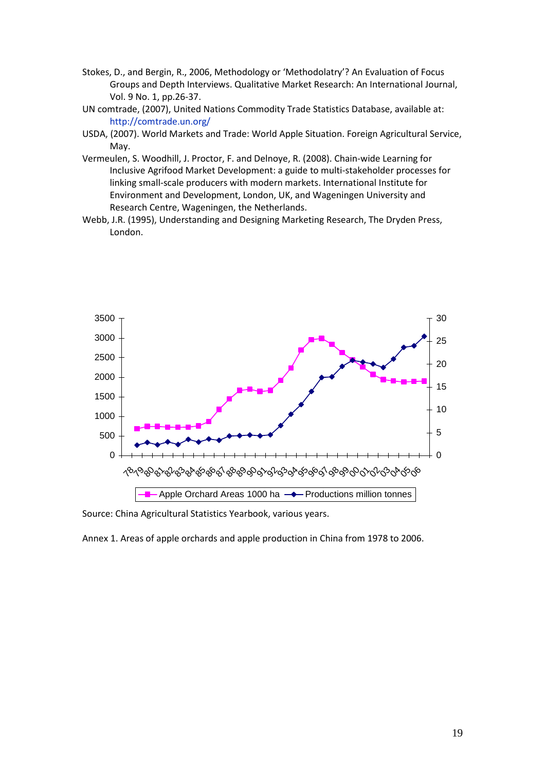- Stokes, D., and Bergin, R., 2006, Methodology or 'Methodolatry'? An Evaluation of Focus Groups and Depth Interviews. Qualitative Market Research: An International Journal, Vol. 9 No. 1, pp.26-37.
- UN comtrade, (2007), United Nations Commodity Trade Statistics Database, available at: http://comtrade.un.org/
- USDA, (2007). World Markets and Trade: World Apple Situation. Foreign Agricultural Service, May.
- Vermeulen, S. Woodhill, J. Proctor, F. and Delnoye, R. (2008). Chain-wide Learning for Inclusive Agrifood Market Development: a guide to multi-stakeholder processes for linking small-scale producers with modern markets. International Institute for Environment and Development, London, UK, and Wageningen University and Research Centre, Wageningen, the Netherlands.
- Webb, J.R. (1995), Understanding and Designing Marketing Research, The Dryden Press, London.



Source: China Agricultural Statistics Yearbook, various years.

Annex 1. Areas of apple orchards and apple production in China from 1978 to 2006.